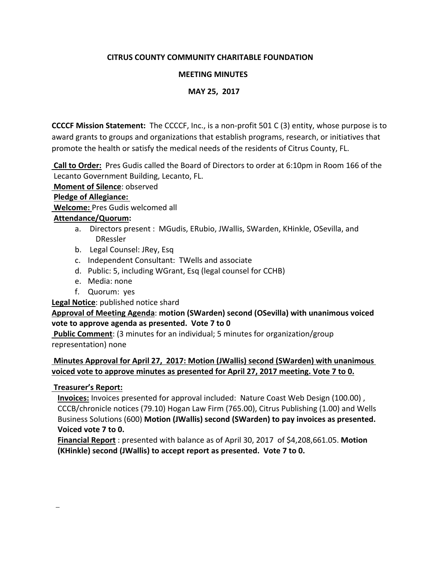# **CITRUS COUNTY COMMUNITY CHARITABLE FOUNDATION**

## **MEETING MINUTES**

### **MAY 25, 2017**

 **CCCCF Mission Statement:** The CCCCF, Inc., is a non-profit 501 C (3) entity, whose purpose is to award grants to groups and organizations that establish programs, research, or initiatives that promote the health or satisfy the medical needs of the residents of Citrus County, FL.

**Call to Order:** Pres Gudis called the Board of Directors to order at 6:10pm in Room 166 of the Lecanto Government Building, Lecanto, FL.

**Moment of Silence**: observed

#### **Pledge of Allegiance:**

**Welcome:** Pres Gudis welcomed all

### **Attendance/Quorum:**

- a. Directors present : MGudis, ERubio, JWallis, SWarden, KHinkle, OSevilla, and DRessler
- b. Legal Counsel: JRey, Esq
- c. Independent Consultant: TWells and associate
- d. Public: 5, including WGrant, Esq (legal counsel for CCHB)
- e. Media: none
- f. Quorum: yes

**Legal Notice**: published notice shard

# **Approval of Meeting Agenda**: **motion (SWarden) second (OSevilla) with unanimous voiced vote to approve agenda as presented. Vote 7 to 0**

**Public Comment**: (3 minutes for an individual; 5 minutes for organization/group representation) none

# **Minutes Approval for April 27, 2017: Motion (JWallis) second (SWarden) with unanimous voiced vote to approve minutes as presented for April 27, 2017 meeting. Vote 7 to 0.**

#### **Treasurer's Report:**

 **Invoices:** Invoices presented for approval included: Nature Coast Web Design (100.00) , CCCB/chronicle notices (79.10) Hogan Law Firm (765.00), Citrus Publishing (1.00) and Wells Business Solutions (600) **Motion (JWallis) second (SWarden) to pay invoices as presented. Voiced vote 7 to 0.**

 **Financial Report** : presented with balance as of April 30, 2017 of \$4,208,661.05. **Motion (KHinkle) second (JWallis) to accept report as presented. Vote 7 to 0.**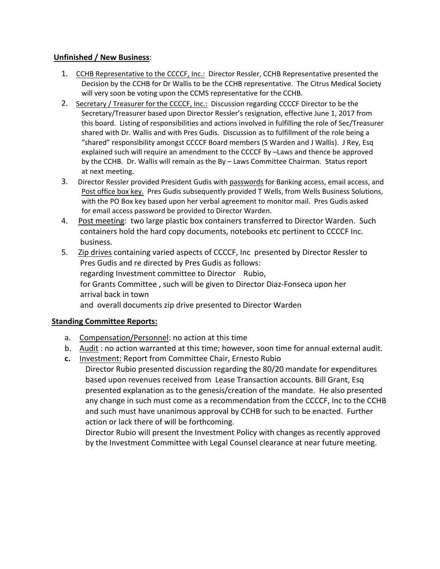### **Unfinished / New Business**:

- 1. CCHB Representative to the CCCCF, Inc.: Director Ressler, CCHB Representative presented the Decision by the CCHB for Dr Wallis to be the CCHB representative. The Citrus Medical Society will very soon be voting upon the CCMS representative for the CCHB.
- 2. Secretary / Treasurer for the CCCCF, Inc.: Discussion regarding CCCCF Director to be the Secretary/Treasurer based upon Director Ressler's resignation, effective June 1, 2017 from this board. Listing of responsibilities and actions involved in fulfilling the role of Sec/Treasurer shared with Dr. Wallis and with Pres Gudis. Discussion as to fulfillment of the role being a "shared" responsibility amongst CCCCF Board members (S Warden and J Wallis). J Rey, Esq explained such will require an amendment to the CCCCF By –Laws and thence be approved by the CCHB. Dr. Wallis will remain as the By – Laws Committee Chairman. Status report at next meeting.
- 3. Director Ressler provided President Gudis with passwords for Banking access, email access, and Post office box key. Pres Gudis subsequently provided T Wells, from Wells Business Solutions, with the PO Box key based upon her verbal agreement to monitor mail. Pres Gudis asked for email access password be provided to Director Warden.
- 4. Post meeting: two large plastic box containers transferred to Director Warden. Such containers hold the hard copy documents, notebooks etc pertinent to CCCCF Inc. business.
- 5. Zip drives containing varied aspects of CCCCF, Inc presented by Director Ressler to Pres Gudis and re directed by Pres Gudis as follows: regarding Investment committee to Director Rubio, for Grants Committee , such will be given to Director Diaz-Fonseca upon her arrival back in town and overall documents zip drive presented to Director Warden

# **Standing Committee Reports:**

- a. Compensation/Personnel: no action at this time
- b. Audit : no action warranted at this time; however, soon time for annual external audit.
- **c.** Investment: Report from Committee Chair, Ernesto Rubio Director Rubio presented discussion regarding the 80/20 mandate for expenditures based upon revenues received from Lease Transaction accounts. Bill Grant, Esq presented explanation as to the genesis/creation of the mandate. He also presented any change in such must come as a recommendation from the CCCCF, Inc to the CCHB and such must have unanimous approval by CCHB for such to be enacted. Further action or lack there of will be forthcoming.

 Director Rubio will present the Investment Policy with changes as recently approved by the Investment Committee with Legal Counsel clearance at near future meeting.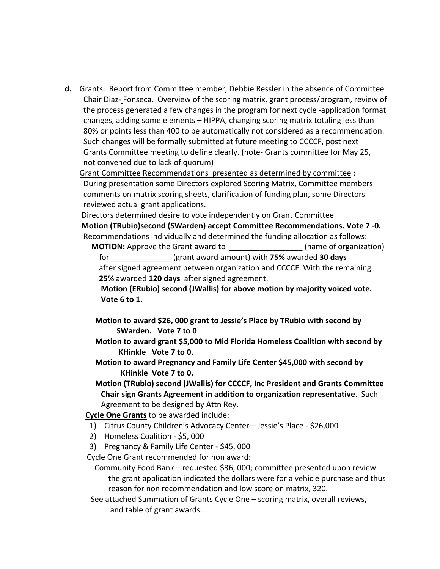**d.** Grants: Report from Committee member, Debbie Ressler in the absence of Committee Chair Diaz- Fonseca. Overview of the scoring matrix, grant process/program, review of the process generated a few changes in the program for next cycle -application format changes, adding some elements – HIPPA, changing scoring matrix totaling less than 80% or points less than 400 to be automatically not considered as a recommendation. Such changes will be formally submitted at future meeting to CCCCF, post next Grants Committee meeting to define clearly. (note- Grants committee for May 25, not convened due to lack of quorum)

Grant Committee Recommendations presented as determined by committee : During presentation some Directors explored Scoring Matrix, Committee members comments on matrix scoring sheets, clarification of funding plan, some Directors reviewed actual grant applications.

 Directors determined desire to vote independently on Grant Committee **Motion (TRubio)second (SWarden) accept Committee Recommendations. Vote 7 -0.** Recommendations individually and determined the funding allocation as follows:

**MOTION:** Approve the Grant award to **a contained a set of organization**) for \_\_\_\_\_\_\_\_\_\_\_\_\_\_ (grant award amount) with **75%** awarded **30 days** after signed agreement between organization and CCCCF. With the remaining **25%** awarded **120 days** after signed agreement.

 **Motion (ERubio) second (JWallis) for above motion by majority voiced vote. Vote 6 to 1.**

- **Motion to award \$26, 000 grant to Jessie's Place by TRubio with second by SWarden. Vote 7 to 0**
- **Motion to award grant \$5,000 to Mid Florida Homeless Coalition with second by KHinkle Vote 7 to 0.**
- **Motion to award Pregnancy and Family Life Center \$45,000 with second by KHinkle Vote 7 to 0.**

 **Motion (TRubio) second (JWallis) for CCCCF, Inc President and Grants Committee Chair sign Grants Agreement in addition to organization representative**. Such Agreement to be designed by Attn Rey.

**Cycle One Grants** to be awarded include:

- 1) Citrus County Children's Advocacy Center Jessie's Place \$26,000
- 2) Homeless Coalition \$5, 000
- 3) Pregnancy & Family Life Center \$45, 000

Cycle One Grant recommended for non award:

 Community Food Bank – requested \$36, 000; committee presented upon review the grant application indicated the dollars were for a vehicle purchase and thus reason for non recommendation and low score on matrix, 320.

 See attached Summation of Grants Cycle One – scoring matrix, overall reviews, and table of grant awards.